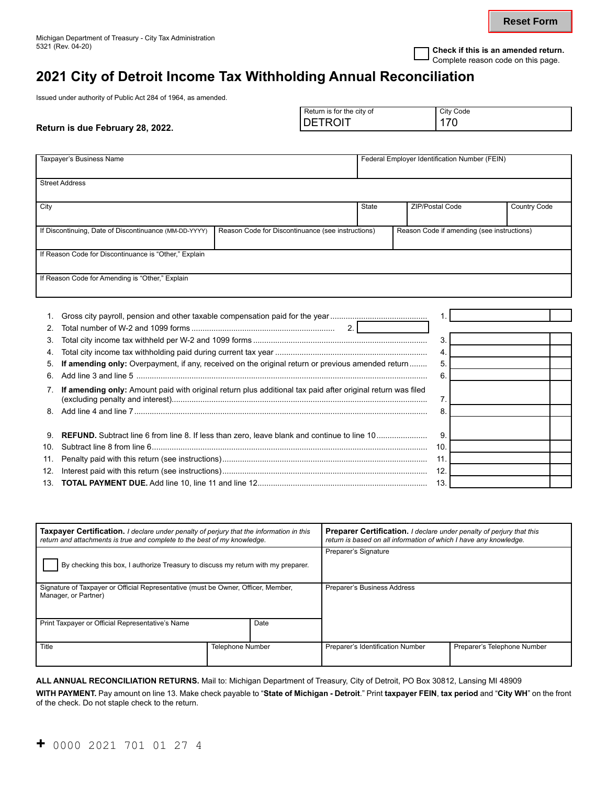**Reset Form**

# **2021 City of Detroit Income Tax Withholding Annual Reconciliation**

Issued under authority of Public Act 284 of 1964, as amended.

|  | Return is due February 28, 2022. | Return is for the city of<br>TROIT<br>DE | City Code<br>170 |
|--|----------------------------------|------------------------------------------|------------------|
|--|----------------------------------|------------------------------------------|------------------|

| Taxpayer's Business Name                                                                                |                                                                                                             |                                                   | Federal Employer Identification Number (FEIN) |                  |                 |                                            |
|---------------------------------------------------------------------------------------------------------|-------------------------------------------------------------------------------------------------------------|---------------------------------------------------|-----------------------------------------------|------------------|-----------------|--------------------------------------------|
|                                                                                                         | <b>Street Address</b>                                                                                       |                                                   |                                               |                  |                 |                                            |
| City                                                                                                    |                                                                                                             |                                                   | <b>State</b>                                  |                  | ZIP/Postal Code | Country Code                               |
|                                                                                                         | If Discontinuing, Date of Discontinuance (MM-DD-YYYY)                                                       | Reason Code for Discontinuance (see instructions) |                                               |                  |                 | Reason Code if amending (see instructions) |
|                                                                                                         | If Reason Code for Discontinuance is "Other," Explain                                                       |                                                   |                                               |                  |                 |                                            |
|                                                                                                         | If Reason Code for Amending is "Other," Explain                                                             |                                                   |                                               |                  |                 |                                            |
|                                                                                                         |                                                                                                             |                                                   |                                               |                  |                 |                                            |
|                                                                                                         |                                                                                                             |                                                   |                                               |                  |                 |                                            |
| 2                                                                                                       |                                                                                                             |                                                   |                                               |                  |                 |                                            |
| 3.                                                                                                      |                                                                                                             |                                                   |                                               | 3.               |                 |                                            |
| 4.                                                                                                      |                                                                                                             |                                                   |                                               | $\overline{4}$ . |                 |                                            |
| If amending only: Overpayment, if any, received on the original return or previous amended return<br>5. |                                                                                                             |                                                   |                                               |                  | 5.              |                                            |
|                                                                                                         | 6.<br>6.                                                                                                    |                                                   |                                               |                  |                 |                                            |
| 7.                                                                                                      | If amending only: Amount paid with original return plus additional tax paid after original return was filed |                                                   |                                               |                  | 7.              |                                            |
| 8<br>8                                                                                                  |                                                                                                             |                                                   |                                               |                  |                 |                                            |
|                                                                                                         |                                                                                                             |                                                   |                                               |                  |                 |                                            |
| 9.                                                                                                      | <b>REFUND.</b> Subtract line 6 from line 8. If less than zero, leave blank and continue to line 10          |                                                   |                                               |                  | 9               |                                            |
| 10.                                                                                                     |                                                                                                             |                                                   |                                               |                  | 10.             |                                            |
| 11.                                                                                                     | 11.                                                                                                         |                                                   |                                               |                  |                 |                                            |
| 12.                                                                                                     |                                                                                                             |                                                   |                                               |                  |                 |                                            |
| 13.                                                                                                     | 13.                                                                                                         |                                                   |                                               |                  |                 |                                            |

| <b>Taxpayer Certification.</b> I declare under penalty of perjury that the information in this<br>return and attachments is true and complete to the best of my knowledge. |                         | Preparer Certification. I declare under penalty of perjury that this<br>return is based on all information of which I have any knowledge. |                                  |                             |
|----------------------------------------------------------------------------------------------------------------------------------------------------------------------------|-------------------------|-------------------------------------------------------------------------------------------------------------------------------------------|----------------------------------|-----------------------------|
| By checking this box, I authorize Treasury to discuss my return with my preparer.                                                                                          |                         |                                                                                                                                           | Preparer's Signature             |                             |
| Signature of Taxpayer or Official Representative (must be Owner, Officer, Member,<br>Manager, or Partner)                                                                  |                         | Preparer's Business Address                                                                                                               |                                  |                             |
| Print Taxpayer or Official Representative's Name<br>Date                                                                                                                   |                         |                                                                                                                                           |                                  |                             |
| Title                                                                                                                                                                      | <b>Telephone Number</b> |                                                                                                                                           | Preparer's Identification Number | Preparer's Telephone Number |

**ALL ANNUAL RECONCILIATION RETURNS.** Mail to: Michigan Department of Treasury, City of Detroit, PO Box 30812, Lansing MI 48909

**WITH PAYMENT.** Pay amount on line 13. Make check payable to "**State of Michigan - Detroit**." Print **taxpayer FEIN**, **tax period** and "**City WH**" on the front of the check. Do not staple check to the return.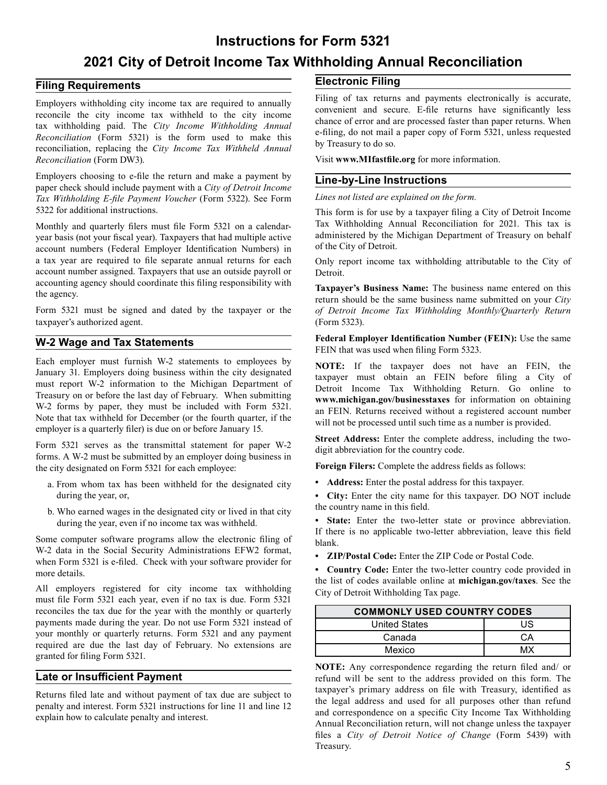### **Instructions for Form 5321**

## **2021 City of Detroit Income Tax Withholding Annual Reconciliation**

#### **Filing Requirements**

Employers withholding city income tax are required to annually reconcile the city income tax withheld to the city income tax withholding paid. The *City Income Withholding Annual Reconciliation* (Form 5321) is the form used to make this reconciliation, replacing the *City Income Tax Withheld Annual Reconciliation* (Form DW3).

Employers choosing to e-file the return and make a payment by paper check should include payment with a *City of Detroit Income Tax Withholding E-file Payment Voucher* (Form 5322). See Form 5322 for additional instructions.

Monthly and quarterly filers must file Form 5321 on a calendaryear basis (not your fiscal year). Taxpayers that had multiple active account numbers (Federal Employer Identification Numbers) in a tax year are required to file separate annual returns for each account number assigned. Taxpayers that use an outside payroll or accounting agency should coordinate this filing responsibility with the agency.

Form 5321 must be signed and dated by the taxpayer or the taxpayer's authorized agent.

#### **W-2 Wage and Tax Statements**

Each employer must furnish W-2 statements to employees by January 31. Employers doing business within the city designated must report W-2 information to the Michigan Department of Treasury on or before the last day of February. When submitting W-2 forms by paper, they must be included with Form 5321. Note that tax withheld for December (or the fourth quarter, if the employer is a quarterly filer) is due on or before January 15.

Form 5321 serves as the transmittal statement for paper W-2 forms. A W-2 must be submitted by an employer doing business in the city designated on Form 5321 for each employee:

- a. From whom tax has been withheld for the designated city during the year, or,
- b. Who earned wages in the designated city or lived in that city during the year, even if no income tax was withheld.

Some computer software programs allow the electronic filing of W-2 data in the Social Security Administrations EFW2 format, when Form 5321 is e-filed. Check with your software provider for more details.

All employers registered for city income tax withholding must file Form 5321 each year, even if no tax is due. Form 5321 reconciles the tax due for the year with the monthly or quarterly payments made during the year. Do not use Form 5321 instead of your monthly or quarterly returns. Form 5321 and any payment required are due the last day of February. No extensions are granted for filing Form 5321.

#### **Late or Insufficient Payment**

Returns filed late and without payment of tax due are subject to penalty and interest. Form 5321 instructions for line 11 and line 12 explain how to calculate penalty and interest.

#### **Electronic Filing**

Filing of tax returns and payments electronically is accurate, convenient and secure. E-file returns have significantly less chance of error and are processed faster than paper returns. When e-filing, do not mail a paper copy of Form 5321, unless requested by Treasury to do so.

Visit **www.MIfastfile.org** for more information.

#### **Line-by-Line Instructions**

*Lines not listed are explained on the form.* 

This form is for use by a taxpayer filing a City of Detroit Income Tax Withholding Annual Reconciliation for 2021. This tax is administered by the Michigan Department of Treasury on behalf of the City of Detroit.

Only report income tax withholding attributable to the City of Detroit.

**Taxpayer's Business Name:** The business name entered on this return should be the same business name submitted on your *City of Detroit Income Tax Withholding Monthly/Quarterly Return*  (Form 5323).

**Federal Employer Identification Number (FEIN):** Use the same FEIN that was used when filing Form 5323.

**NOTE:** If the taxpayer does not have an FEIN, the taxpayer must obtain an FEIN before filing a City of Detroit Income Tax Withholding Return. Go online to **<www.michigan.gov/businesstaxes>**for information on obtaining [an FEIN. Returns received withou](www.michigan.gov/businesstaxes)t a registered account number will not be processed until such time as a number is provided.

**Street Address:** Enter the complete address, including the twodigit abbreviation for the country code.

**Foreign Filers:** Complete the address fields as follows:

**• Address:** Enter the postal address for this taxpayer.

**• City:** Enter the city name for this taxpayer. DO NOT include the country name in this field.

**• State:** Enter the two-letter state or province abbreviation. If there is no applicable two-letter abbreviation, leave this field blank.

**• ZIP/Postal Code:** Enter the ZIP Code or Postal Code.

 **• Country Code:** Enter the two-letter country code provided in the list of codes available online at **[michigan.gov/taxes](https://michigan.gov/taxes)**. See the City of Detroit Withholding Tax page[.](https://michigan.gov/taxes) 

| <b>COMMONLY USED COUNTRY CODES</b> |    |  |
|------------------------------------|----|--|
| <b>United States</b>               | US |  |
| Canada                             | CА |  |
| Mexico                             | MX |  |

**NOTE:** Any correspondence regarding the return filed and/ or refund will be sent to the address provided on this form. The taxpayer's primary address on file with Treasury, identified as the legal address and used for all purposes other than refund and correspondence on a specific City Income Tax Withholding Annual Reconciliation return, will not change unless the taxpayer files a *City of Detroit Notice of Change* (Form 5439) with Treasury.